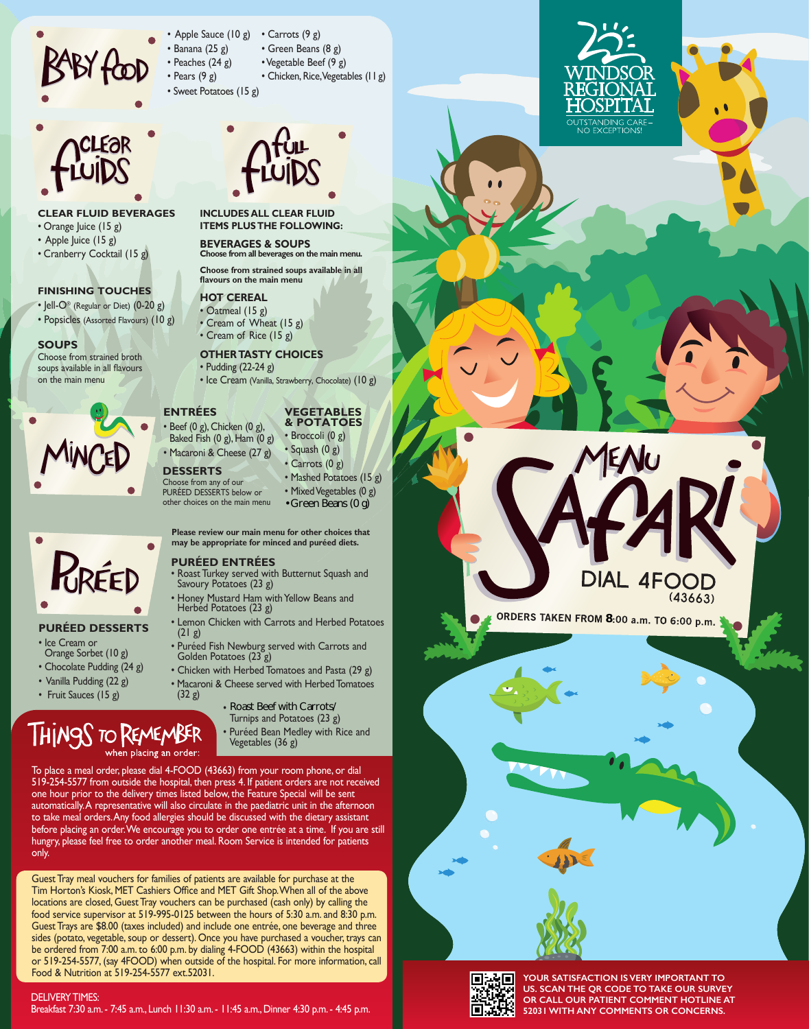

- Apple Sauce (10 g) • Banana (25 g) • Peaches (24 g) • Pears (9 g) • Carrots (9 g) • Green Beans (8 g) • Vegetable Beef (9 g) • Chicken, Rice, Vegetables (11 g)
- Sweet Potatoes (15 g)



- **CLEAR FLUID BEVERAGES**
- Orange Juice (15 g)
- Apple Juice (15 g)
- Cranberry Cocktail (15 g)

### **FINISHING TOUCHES**

- Jell- $O^{\circ}$  (Regular or Diet)  $(0-20 g)$
- Popsicles (Assorted Flavours) (10 g)

## **SOUPS**

Choose from strained broth soups available in all flavours on the main menu



| RRÉED |  |
|-------|--|
|       |  |
|       |  |

## **PURÉED DESSERTS**

- Ice Cream or
- Orange Sorbet (10 g)
- Chocolate Pudding (24 g)
- Vanilla Pudding (22 g)
- Fruit Sauces (15 g)

# THINGS TO REMEMBER vhen placing an order

**INCLUDES ALL CLEAR FLUID** 

## **BEVERAGES & SOUPS ITEMS PLUS THE FOLLOWING:**

**Choose from all beverages on the main menu. Choose from strained soups available in all** 

# **flavours on the main menu**

**HOT CEREAL** • Oatmeal (15 g)

• Cream of Wheat (15 g) • Cream of Rice (15 g)

# **OTHER TASTY CHOICES**

# • Pudding (22-24 g)

• Ice Cream (Vanilla, Strawberry, Chocolate) (10 g)

# **& POTATOES**

• Beef (0 g), Chicken (0 g), Baked Fish  $(0 g)$ , Ham  $(0 g)$ • Macaroni & Cheese (27 g)

**ENTRÉES**

- **DESSERTS**  Choose from any of our PURÉED DESSERTS below or
- Mixed Vegetables (0 g) Green Beans (0 g)

**Please review our main menu for other choices that may be appropriate for minced and puréed diets.**

## **PURÉED ENTRÉES**

- 
- Lemon Chicken with Carrots and Herbed Potatoes  $(21 g)$
- Puréed Fish Newburg served with Carrots and<br>Golden Potatoes (23 g)
- Chicken with Herbed Tomatoes and Pasta (29 g)
- (32 g)
	- Turnips and Potatoes (23 g)
	- Puréed Bean Medley with Rice and<br>Vegetables (36 g)

To place a meal order, please dial 4-FOOD (43663) from your room phone, or dial 519-254-5577 from outside the hospital, then press 4. If patient orders are not received one hour prior to the delivery times listed below, the Feature Special will be sent automatically. A representative will also circulate in the paediatric unit in the afternoon to take meal orders. Any food allergies should be discussed with the dietary assistant before placing an order. We encourage you to order one entrée at a time. If you are still hungry, please feel free to order another meal. Room Service is intended for patients only.

Guest Tray meal vouchers for families of patients are available for purchase at the Tim Horton's Kiosk, MET Cashiers Office and MET Gift Shop. When all of the above locations are closed, Guest Tray vouchers can be purchased (cash only) by calling the food service supervisor at 519-995-0125 between the hours of 5:30 a.m. and 8:30 p.m. Guest Trays are \$8.00 (taxes included) and include one entrée, one beverage and three sides (potato, vegetable, soup or dessert). Once you have purchased a voucher, trays can be ordered from 7:00 a.m. to 6:00 p.m. by dialing 4-FOOD (43663) within the hospital or 519-254-5577, (say 4FOOD) when outside of the hospital. For more information, call Food & Nutrition at 519-254-5577 ext.52031.

DELIVERY TIMES: Breakfast 7:30 a.m. - 7:45 a.m., Lunch 11:30 a.m. - 11:45 a.m., Dinner 4:30 p.m. - 4:45 p.m.

# • Broccoli (0 g) • Squash (0 g) • Carrots (0 g)

- Mashed Potatoes (15 g)
- 

other choices on the main menu Example The Creen Beans (0 g)<br>
Surmain menu for other choices that<br>
Friate for minced and puréed diets.<br> **NTRÉES**<br>
served with Butternut Squash and<br>
toes (23 g)<br>
surman with Yellow Beans and<br>
toes (23 g)<br>
sen with Carrots

- Roast Turkey served with Butternut Squash and<br>Savoury Potatoes (23 g)
- Honey Mustard Ham with Yellow Beans and Herbed Potatoes (23 g)
- 



- Macaroni & Cheese served with Herbed Tomatoes
	- Beef Bourguignon change to Roast Beef
		-





**YOUR SATISFACTION IS VERY IMPORTANT TO US. SCAN THE QR CODE TO TAKE OUR SURVEY OR CALL OUR PATIENT COMMENT HOTLINE AT 52031 WITH ANY COMMENTS OR CONCERNS.**

 $(43663)$